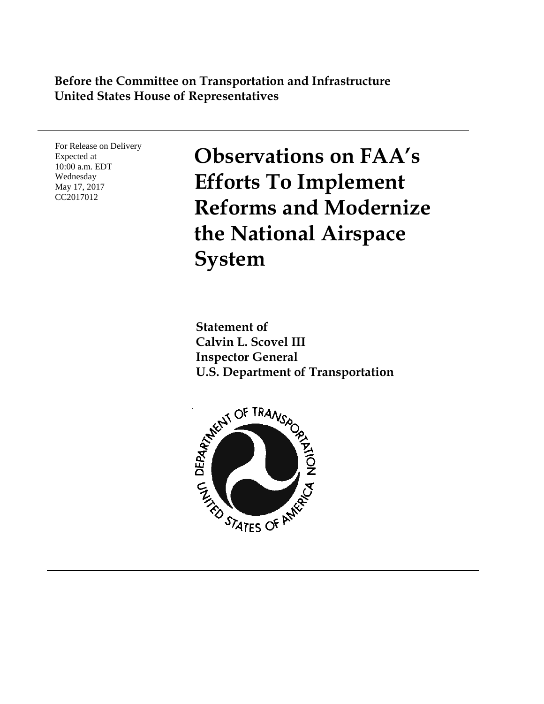### **Before the Committee on Transportation and Infrastructure United States House of Representatives**

For Release on Delivery Expected at 10:00 a.m. EDT Wednesday May 17, 2017 CC2017012

**Observations on FAA's Efforts To Implement Reforms and Modernize the National Airspace System**

**Statement of Calvin L. Scovel III Inspector General U.S. Department of Transportation**

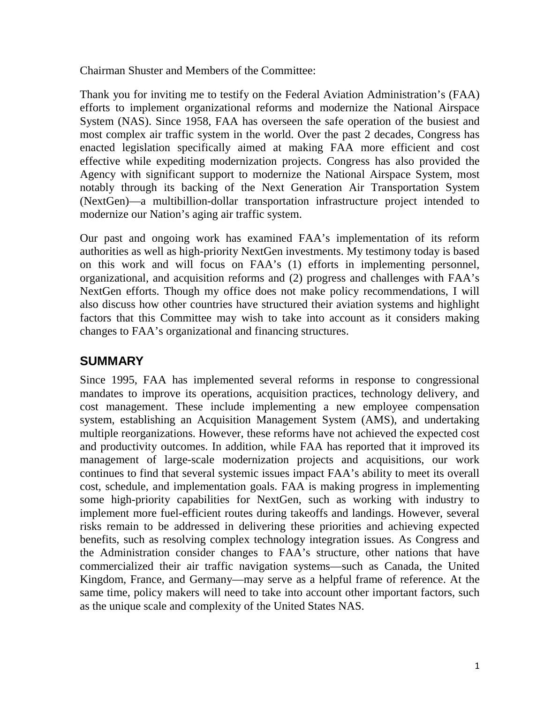Chairman Shuster and Members of the Committee:

Thank you for inviting me to testify on the Federal Aviation Administration's (FAA) efforts to implement organizational reforms and modernize the National Airspace System (NAS). Since 1958, FAA has overseen the safe operation of the busiest and most complex air traffic system in the world. Over the past 2 decades, Congress has enacted legislation specifically aimed at making FAA more efficient and cost effective while expediting modernization projects. Congress has also provided the Agency with significant support to modernize the National Airspace System, most notably through its backing of the Next Generation Air Transportation System (NextGen)—a multibillion-dollar transportation infrastructure project intended to modernize our Nation's aging air traffic system.

Our past and ongoing work has examined FAA's implementation of its reform authorities as well as high-priority NextGen investments. My testimony today is based on this work and will focus on FAA's (1) efforts in implementing personnel, organizational, and acquisition reforms and (2) progress and challenges with FAA's NextGen efforts. Though my office does not make policy recommendations, I will also discuss how other countries have structured their aviation systems and highlight factors that this Committee may wish to take into account as it considers making changes to FAA's organizational and financing structures.

## **SUMMARY**

Since 1995, FAA has implemented several reforms in response to congressional mandates to improve its operations, acquisition practices, technology delivery, and cost management. These include implementing a new employee compensation system, establishing an Acquisition Management System (AMS), and undertaking multiple reorganizations. However, these reforms have not achieved the expected cost and productivity outcomes. In addition, while FAA has reported that it improved its management of large-scale modernization projects and acquisitions, our work continues to find that several systemic issues impact FAA's ability to meet its overall cost, schedule, and implementation goals. FAA is making progress in implementing some high-priority capabilities for NextGen, such as working with industry to implement more fuel-efficient routes during takeoffs and landings. However, several risks remain to be addressed in delivering these priorities and achieving expected benefits, such as resolving complex technology integration issues. As Congress and the Administration consider changes to FAA's structure, other nations that have commercialized their air traffic navigation systems—such as Canada, the United Kingdom, France, and Germany—may serve as a helpful frame of reference. At the same time, policy makers will need to take into account other important factors, such as the unique scale and complexity of the United States NAS.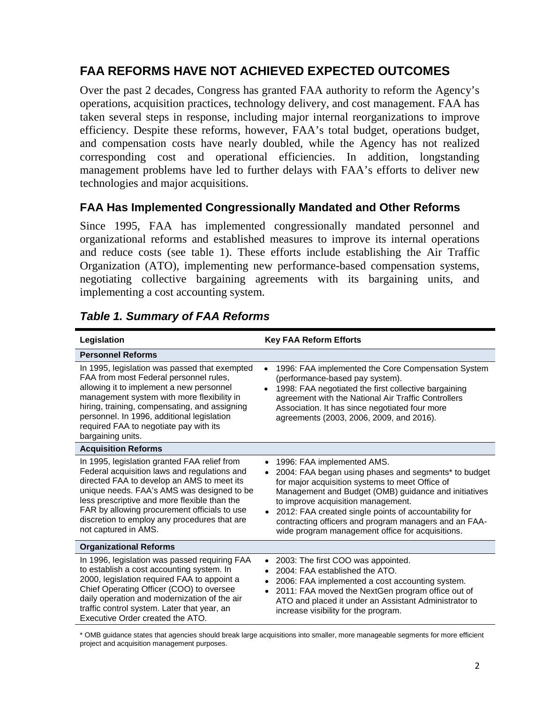# **FAA REFORMS HAVE NOT ACHIEVED EXPECTED OUTCOMES**

Over the past 2 decades, Congress has granted FAA authority to reform the Agency's operations, acquisition practices, technology delivery, and cost management. FAA has taken several steps in response, including major internal reorganizations to improve efficiency. Despite these reforms, however, FAA's total budget, operations budget, and compensation costs have nearly doubled, while the Agency has not realized corresponding cost and operational efficiencies. In addition, longstanding management problems have led to further delays with FAA's efforts to deliver new technologies and major acquisitions.

### **FAA Has Implemented Congressionally Mandated and Other Reforms**

Since 1995, FAA has implemented congressionally mandated personnel and organizational reforms and established measures to improve its internal operations and reduce costs (see table 1). These efforts include establishing the Air Traffic Organization (ATO), implementing new performance-based compensation systems, negotiating collective bargaining agreements with its bargaining units, and implementing a cost accounting system.

| Legislation                                                                                                                                                                                                                                                                                                                                                      | <b>Key FAA Reform Efforts</b>                                                                                                                                                                                                                                                                                                                                                                                                                    |
|------------------------------------------------------------------------------------------------------------------------------------------------------------------------------------------------------------------------------------------------------------------------------------------------------------------------------------------------------------------|--------------------------------------------------------------------------------------------------------------------------------------------------------------------------------------------------------------------------------------------------------------------------------------------------------------------------------------------------------------------------------------------------------------------------------------------------|
| <b>Personnel Reforms</b>                                                                                                                                                                                                                                                                                                                                         |                                                                                                                                                                                                                                                                                                                                                                                                                                                  |
| In 1995, legislation was passed that exempted<br>FAA from most Federal personnel rules,<br>allowing it to implement a new personnel<br>management system with more flexibility in<br>hiring, training, compensating, and assigning<br>personnel. In 1996, additional legislation<br>required FAA to negotiate pay with its<br>bargaining units.                  | 1996: FAA implemented the Core Compensation System<br>(performance-based pay system).<br>1998: FAA negotiated the first collective bargaining<br>agreement with the National Air Traffic Controllers<br>Association. It has since negotiated four more<br>agreements (2003, 2006, 2009, and 2016).                                                                                                                                               |
| <b>Acquisition Reforms</b>                                                                                                                                                                                                                                                                                                                                       |                                                                                                                                                                                                                                                                                                                                                                                                                                                  |
| In 1995, legislation granted FAA relief from<br>Federal acquisition laws and regulations and<br>directed FAA to develop an AMS to meet its<br>unique needs. FAA's AMS was designed to be<br>less prescriptive and more flexible than the<br>FAR by allowing procurement officials to use<br>discretion to employ any procedures that are<br>not captured in AMS. | 1996: FAA implemented AMS.<br>$\bullet$<br>2004: FAA began using phases and segments* to budget<br>$\bullet$<br>for major acquisition systems to meet Office of<br>Management and Budget (OMB) guidance and initiatives<br>to improve acquisition management.<br>2012: FAA created single points of accountability for<br>$\bullet$<br>contracting officers and program managers and an FAA-<br>wide program management office for acquisitions. |
| <b>Organizational Reforms</b>                                                                                                                                                                                                                                                                                                                                    |                                                                                                                                                                                                                                                                                                                                                                                                                                                  |
| In 1996, legislation was passed requiring FAA<br>to establish a cost accounting system. In<br>2000, legislation required FAA to appoint a<br>Chief Operating Officer (COO) to oversee<br>daily operation and modernization of the air<br>traffic control system. Later that year, an<br>Executive Order created the ATO.                                         | 2003: The first COO was appointed.<br>$\bullet$<br>2004: FAA established the ATO.<br>2006: FAA implemented a cost accounting system.<br>2011: FAA moved the NextGen program office out of<br>$\bullet$<br>ATO and placed it under an Assistant Administrator to<br>increase visibility for the program.                                                                                                                                          |

## *Table 1. Summary of FAA Reforms*

\* OMB guidance states that agencies should break large acquisitions into smaller, more manageable segments for more efficient project and acquisition management purposes.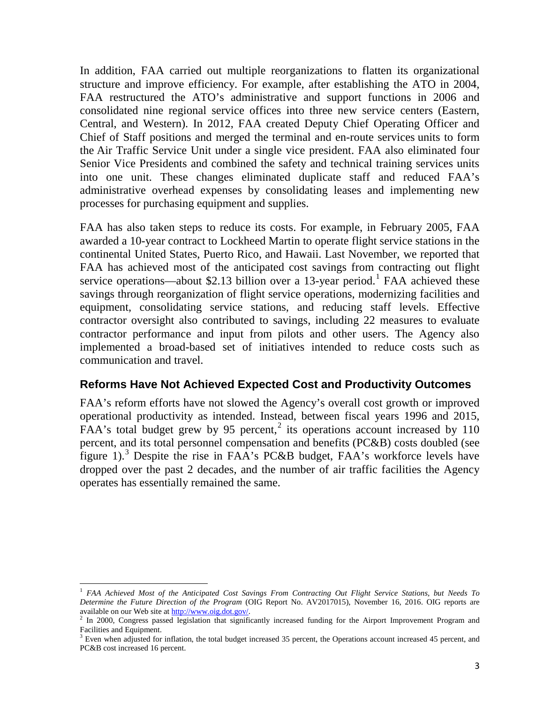In addition, FAA carried out multiple reorganizations to flatten its organizational structure and improve efficiency. For example, after establishing the ATO in 2004, FAA restructured the ATO's administrative and support functions in 2006 and consolidated nine regional service offices into three new service centers (Eastern, Central, and Western). In 2012, FAA created Deputy Chief Operating Officer and Chief of Staff positions and merged the terminal and en-route services units to form the Air Traffic Service Unit under a single vice president. FAA also eliminated four Senior Vice Presidents and combined the safety and technical training services units into one unit. These changes eliminated duplicate staff and reduced FAA's administrative overhead expenses by consolidating leases and implementing new processes for purchasing equipment and supplies.

FAA has also taken steps to reduce its costs. For example, in February 2005, FAA awarded a 10-year contract to Lockheed Martin to operate flight service stations in the continental United States, Puerto Rico, and Hawaii. Last November, we reported that FAA has achieved most of the anticipated cost savings from contracting out flight service operations—about \$2.[1](#page-3-0)3 billion over a 13-year period.<sup>1</sup> FAA achieved these savings through reorganization of flight service operations, modernizing facilities and equipment, consolidating service stations, and reducing staff levels. Effective contractor oversight also contributed to savings, including 22 measures to evaluate contractor performance and input from pilots and other users. The Agency also implemented a broad-based set of initiatives intended to reduce costs such as communication and travel.

#### **Reforms Have Not Achieved Expected Cost and Productivity Outcomes**

FAA's reform efforts have not slowed the Agency's overall cost growth or improved operational productivity as intended. Instead, between fiscal years 1996 and 2015, FAA's total budget grew by 95 percent,<sup>[2](#page-3-1)</sup> its operations account increased by 110 percent, and its total personnel compensation and benefits (PC&B) costs doubled (see figure 1).<sup>[3](#page-3-2)</sup> Despite the rise in FAA's PC&B budget, FAA's workforce levels have dropped over the past 2 decades, and the number of air traffic facilities the Agency operates has essentially remained the same.

<span id="page-3-0"></span><sup>1</sup> *FAA Achieved Most of the Anticipated Cost Savings From Contracting Out Flight Service Stations, but Needs To Determine the Future Direction of the Program* (OIG Report No. AV2017015), November 16, 2016. OIG reports are available on our Web site at http://www.oig.dot.gov/.

<span id="page-3-1"></span> $\frac{2}{3}$  In 2000, Congress passed legislation that significantly increased funding for the Airport Improvement Program and Facilities and Equipment.

<span id="page-3-2"></span> $3$  Even when adjusted for inflation, the total budget increased 35 percent, the Operations account increased 45 percent, and PC&B cost increased 16 percent.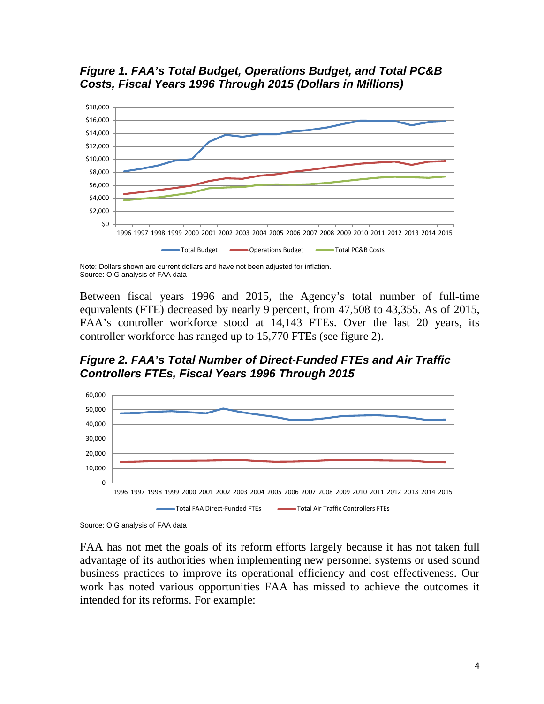



Note: Dollars shown are current dollars and have not been adjusted for inflation. Source: OIG analysis of FAA data

Between fiscal years 1996 and 2015, the Agency's total number of full-time equivalents (FTE) decreased by nearly 9 percent, from 47,508 to 43,355. As of 2015, FAA's controller workforce stood at 14,143 FTEs. Over the last 20 years, its controller workforce has ranged up to 15,770 FTEs (see figure 2).

*Figure 2. FAA's Total Number of Direct-Funded FTEs and Air Traffic Controllers FTEs, Fiscal Years 1996 Through 2015*



Source: OIG analysis of FAA data

FAA has not met the goals of its reform efforts largely because it has not taken full advantage of its authorities when implementing new personnel systems or used sound business practices to improve its operational efficiency and cost effectiveness. Our work has noted various opportunities FAA has missed to achieve the outcomes it intended for its reforms. For example: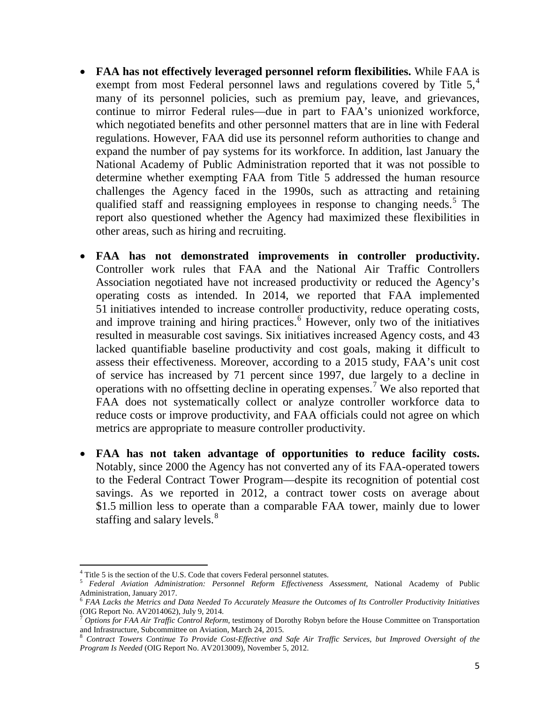- **FAA has not effectively leveraged personnel reform flexibilities.** While FAA is exempt from most Federal personnel laws and regulations covered by Title  $5<sup>4</sup>$  $5<sup>4</sup>$  $5<sup>4</sup>$ many of its personnel policies, such as premium pay, leave, and grievances, continue to mirror Federal rules—due in part to FAA's unionized workforce, which negotiated benefits and other personnel matters that are in line with Federal regulations. However, FAA did use its personnel reform authorities to change and expand the number of pay systems for its workforce. In addition, last January the National Academy of Public Administration reported that it was not possible to determine whether exempting FAA from Title 5 addressed the human resource challenges the Agency faced in the 1990s, such as attracting and retaining qualified staff and reassigning employees in response to changing needs. [5](#page-5-1) The report also questioned whether the Agency had maximized these flexibilities in other areas, such as hiring and recruiting.
- **FAA has not demonstrated improvements in controller productivity.**  Controller work rules that FAA and the National Air Traffic Controllers Association negotiated have not increased productivity or reduced the Agency's operating costs as intended. In 2014, we reported that FAA implemented 51 initiatives intended to increase controller productivity, reduce operating costs, and improve training and hiring practices.<sup>[6](#page-5-2)</sup> However, only two of the initiatives resulted in measurable cost savings. Six initiatives increased Agency costs, and 43 lacked quantifiable baseline productivity and cost goals, making it difficult to assess their effectiveness. Moreover, according to a 2015 study, FAA's unit cost of service has increased by 71 percent since 1997, due largely to a decline in operations with no offsetting decline in operating expenses.<sup>[7](#page-5-3)</sup> We also reported that FAA does not systematically collect or analyze controller workforce data to reduce costs or improve productivity, and FAA officials could not agree on which metrics are appropriate to measure controller productivity.
- **FAA has not taken advantage of opportunities to reduce facility costs.** Notably, since 2000 the Agency has not converted any of its FAA-operated towers to the Federal Contract Tower Program—despite its recognition of potential cost savings. As we reported in 2012, a contract tower costs on average about \$1.5 million less to operate than a comparable FAA tower, mainly due to lower staffing and salary levels.<sup>[8](#page-5-4)</sup>

<span id="page-5-0"></span> $4$  Title 5 is the section of the U.S. Code that covers Federal personnel statutes.

<span id="page-5-1"></span><sup>5</sup> *Federal Aviation Administration: Personnel Reform Effectiveness Assessment*, National Academy of Public Administration, January 2017.

<span id="page-5-2"></span><sup>6</sup> *FAA Lacks the Metrics and Data Needed To Accurately Measure the Outcomes of Its Controller Productivity Initiatives* 

<span id="page-5-3"></span>Options for FAA Air Traffic Control Reform, testimony of Dorothy Robyn before the House Committee on Transportation and Infrastructure, Subcommittee on Aviation, March 24, 2015.

<span id="page-5-4"></span><sup>8</sup> *Contract Towers Continue To Provide Cost-Effective and Safe Air Traffic Services, but Improved Oversight of the Program Is Needed* (OIG Report No. AV2013009), November 5, 2012.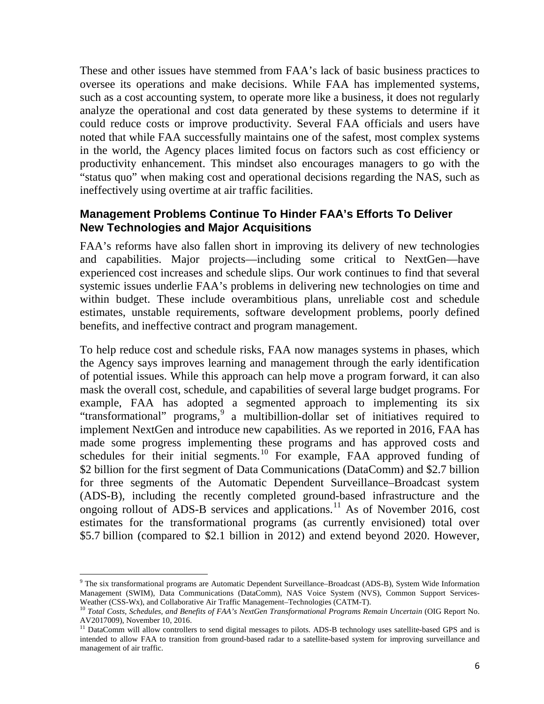These and other issues have stemmed from FAA's lack of basic business practices to oversee its operations and make decisions. While FAA has implemented systems, such as a cost accounting system, to operate more like a business, it does not regularly analyze the operational and cost data generated by these systems to determine if it could reduce costs or improve productivity. Several FAA officials and users have noted that while FAA successfully maintains one of the safest, most complex systems in the world, the Agency places limited focus on factors such as cost efficiency or productivity enhancement. This mindset also encourages managers to go with the "status quo" when making cost and operational decisions regarding the NAS, such as ineffectively using overtime at air traffic facilities.

#### **Management Problems Continue To Hinder FAA's Efforts To Deliver New Technologies and Major Acquisitions**

FAA's reforms have also fallen short in improving its delivery of new technologies and capabilities. Major projects—including some critical to NextGen—have experienced cost increases and schedule slips. Our work continues to find that several systemic issues underlie FAA's problems in delivering new technologies on time and within budget. These include overambitious plans, unreliable cost and schedule estimates, unstable requirements, software development problems, poorly defined benefits, and ineffective contract and program management.

To help reduce cost and schedule risks, FAA now manages systems in phases, which the Agency says improves learning and management through the early identification of potential issues. While this approach can help move a program forward, it can also mask the overall cost, schedule, and capabilities of several large budget programs. For example, FAA has adopted a segmented approach to implementing its six "transformational" programs,<sup>[9](#page-6-0)</sup> a multibillion-dollar set of initiatives required to implement NextGen and introduce new capabilities. As we reported in 2016, FAA has made some progress implementing these programs and has approved costs and schedules for their initial segments.<sup>[10](#page-6-1)</sup> For example, FAA approved funding of \$2 billion for the first segment of Data Communications (DataComm) and \$2.7 billion for three segments of the Automatic Dependent Surveillance–Broadcast system (ADS-B), including the recently completed ground-based infrastructure and the ongoing rollout of ADS-B services and applications.<sup>[11](#page-6-2)</sup> As of November 2016, cost estimates for the transformational programs (as currently envisioned) total over \$5.7 billion (compared to \$2.1 billion in 2012) and extend beyond 2020. However,

l

<span id="page-6-0"></span><sup>9</sup> The six transformational programs are Automatic Dependent Surveillance–Broadcast (ADS-B), System Wide Information Management (SWIM), Data Communications (DataComm), NAS Voice System (NVS), Common Support Services-Weather (CSS-Wx), and Collaborative Air Traffic Management–Technologies (CATM-T).

<span id="page-6-1"></span><sup>&</sup>lt;sup>10</sup> Total Costs, Schedules, and Benefits of FAA's NextGen Transformational Programs Remain Uncertain (OIG Report No.<br>AV2017009), November 10, 2016.

<span id="page-6-2"></span><sup>&</sup>lt;sup>11</sup> DataComm will allow controllers to send digital messages to pilots. ADS-B technology uses satellite-based GPS and is intended to allow FAA to transition from ground-based radar to a satellite-based system for improving surveillance and management of air traffic.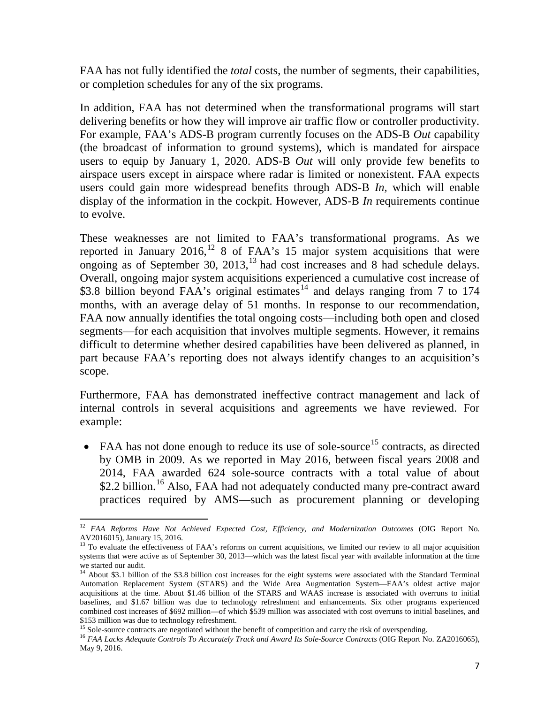FAA has not fully identified the *total* costs, the number of segments, their capabilities, or completion schedules for any of the six programs.

In addition, FAA has not determined when the transformational programs will start delivering benefits or how they will improve air traffic flow or controller productivity. For example, FAA's ADS-B program currently focuses on the ADS-B *Out* capability (the broadcast of information to ground systems), which is mandated for airspace users to equip by January 1, 2020. ADS-B *Out* will only provide few benefits to airspace users except in airspace where radar is limited or nonexistent. FAA expects users could gain more widespread benefits through ADS-B *In,* which will enable display of the information in the cockpit. However, ADS-B *In* requirements continue to evolve.

These weaknesses are not limited to FAA's transformational programs. As we reported in January 2016,<sup>[12](#page-7-0)</sup> 8 of FAA's 15 major system acquisitions that were ongoing as of September 30,  $2013$  $2013$ ,  $^{13}$  had cost increases and 8 had schedule delays. Overall, ongoing major system acquisitions experienced a cumulative cost increase of  $$3.8$  billion beyond FAA's original estimates<sup>[14](#page-7-2)</sup> and delays ranging from 7 to 174 months, with an average delay of 51 months. In response to our recommendation, FAA now annually identifies the total ongoing costs—including both open and closed segments—for each acquisition that involves multiple segments. However, it remains difficult to determine whether desired capabilities have been delivered as planned, in part because FAA's reporting does not always identify changes to an acquisition's scope.

Furthermore, FAA has demonstrated ineffective contract management and lack of internal controls in several acquisitions and agreements we have reviewed. For example:

• FAA has not done enough to reduce its use of sole-source<sup>[15](#page-7-3)</sup> contracts, as directed by OMB in 2009. As we reported in May 2016, between fiscal years 2008 and 2014, FAA awarded 624 sole-source contracts with a total value of about \$2.2 billion.<sup>[16](#page-7-4)</sup> Also, FAA had not adequately conducted many pre-contract award practices required by AMS—such as procurement planning or developing

<span id="page-7-0"></span><sup>12</sup> *FAA Reforms Have Not Achieved Expected Cost, Efficiency, and Modernization Outcomes* (OIG Report No. AV2016015), January 15, 2016.

<span id="page-7-1"></span><sup>&</sup>lt;sup>13</sup> To evaluate the effectiveness of FAA's reforms on current acquisitions, we limited our review to all major acquisition systems that were active as of September 30, 2013—which was the latest fiscal year with available information at the time we started our audit.

<span id="page-7-2"></span><sup>&</sup>lt;sup>14</sup> About \$3.1 billion of the \$3.8 billion cost increases for the eight systems were associated with the Standard Terminal Automation Replacement System (STARS) and the Wide Area Augmentation System—FAA's oldest active major acquisitions at the time. About \$1.46 billion of the STARS and WAAS increase is associated with overruns to initial baselines, and \$1.67 billion was due to technology refreshment and enhancements. Six other programs experienced combined cost increases of \$692 million—of which \$539 million was associated with cost overruns to initial baselines, and \$153 million was due to technology refreshment.

<span id="page-7-4"></span><span id="page-7-3"></span><sup>&</sup>lt;sup>15</sup> Sole-source contracts are negotiated without the benefit of competition and carry the risk of overspending.<br><sup>16</sup> FAA Lacks Adequate Controls To Accurately Track and Award Its Sole-Source Contracts (OIG Report No. ZA2 May 9, 2016.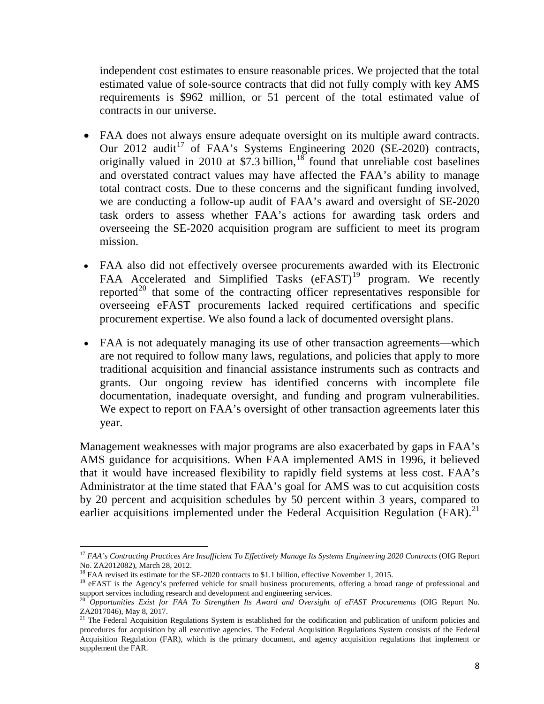independent cost estimates to ensure reasonable prices. We projected that the total estimated value of sole-source contracts that did not fully comply with key AMS requirements is \$962 million, or 51 percent of the total estimated value of contracts in our universe.

- FAA does not always ensure adequate oversight on its multiple award contracts. Our 2012 audit<sup>[17](#page-8-0)</sup> of FAA's Systems Engineering 2020 (SE-2020) contracts, originally valued in 2010 at \$7.3 billion,  $18$  found that unreliable cost baselines and overstated contract values may have affected the FAA's ability to manage total contract costs. Due to these concerns and the significant funding involved, we are conducting a follow-up audit of FAA's award and oversight of SE-2020 task orders to assess whether FAA's actions for awarding task orders and overseeing the SE-2020 acquisition program are sufficient to meet its program mission.
- FAA also did not effectively oversee procurements awarded with its Electronic FAA Accelerated and Simplified Tasks  $(eFAST)^{19}$  $(eFAST)^{19}$  $(eFAST)^{19}$  program. We recently reported<sup>[20](#page-8-3)</sup> that some of the contracting officer representatives responsible for overseeing eFAST procurements lacked required certifications and specific procurement expertise. We also found a lack of documented oversight plans.
- FAA is not adequately managing its use of other transaction agreements—which are not required to follow many laws, regulations, and policies that apply to more traditional acquisition and financial assistance instruments such as contracts and grants. Our ongoing review has identified concerns with incomplete file documentation, inadequate oversight, and funding and program vulnerabilities. We expect to report on FAA's oversight of other transaction agreements later this year.

Management weaknesses with major programs are also exacerbated by gaps in FAA's AMS guidance for acquisitions. When FAA implemented AMS in 1996, it believed that it would have increased flexibility to rapidly field systems at less cost. FAA's Administrator at the time stated that FAA's goal for AMS was to cut acquisition costs by 20 percent and acquisition schedules by 50 percent within 3 years, compared to earlier acquisitions implemented under the Federal Acquisition Regulation  $(FAR)^{21}$  $(FAR)^{21}$  $(FAR)^{21}$ 

<span id="page-8-0"></span><sup>&</sup>lt;sup>17</sup> *FAA's Contracting Practices Are Insufficient To Effectively Manage Its Systems Engineering 2020 Contracts* (OIG Report No. ZA2012082), March 28, 2012.

<span id="page-8-2"></span>

<span id="page-8-1"></span><sup>&</sup>lt;sup>18</sup> FAA revised its estimate for the SE-2020 contracts to \$1.1 billion, effective November 1, 2015.<br><sup>19</sup> eFAST is the Agency's preferred vehicle for small business procurements, offering a broad range of professional and support services including research and development and engineering services.

<span id="page-8-3"></span><sup>&</sup>lt;sup>20</sup> Opportunities Exist for FAA To Strengthen Its Award and Oversight of eFAST Procurements (OIG Report No. ZA2017046), May 8, 2017.

<span id="page-8-4"></span><sup>&</sup>lt;sup>21</sup> The Federal Acquisition Regulations System is established for the codification and publication of uniform policies and procedures for acquisition by all executive agencies. The Federal Acquisition Regulations System consists of the Federal Acquisition Regulation (FAR), which is the primary document, and agency acquisition regulations that implement or supplement the FAR.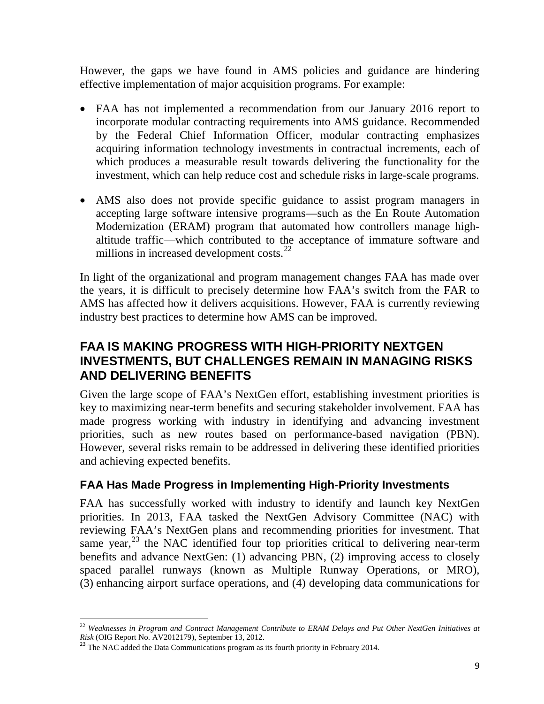However, the gaps we have found in AMS policies and guidance are hindering effective implementation of major acquisition programs. For example:

- FAA has not implemented a recommendation from our January 2016 report to incorporate modular contracting requirements into AMS guidance. Recommended by the Federal Chief Information Officer, modular contracting emphasizes acquiring information technology investments in contractual increments, each of which produces a measurable result towards delivering the functionality for the investment, which can help reduce cost and schedule risks in large-scale programs.
- AMS also does not provide specific guidance to assist program managers in accepting large software intensive programs—such as the En Route Automation Modernization (ERAM) program that automated how controllers manage highaltitude traffic—which contributed to the acceptance of immature software and millions in increased development costs. $^{22}$  $^{22}$  $^{22}$

In light of the organizational and program management changes FAA has made over the years, it is difficult to precisely determine how FAA's switch from the FAR to AMS has affected how it delivers acquisitions. However, FAA is currently reviewing industry best practices to determine how AMS can be improved.

# **FAA IS MAKING PROGRESS WITH HIGH-PRIORITY NEXTGEN INVESTMENTS, BUT CHALLENGES REMAIN IN MANAGING RISKS AND DELIVERING BENEFITS**

Given the large scope of FAA's NextGen effort, establishing investment priorities is key to maximizing near-term benefits and securing stakeholder involvement. FAA has made progress working with industry in identifying and advancing investment priorities, such as new routes based on performance-based navigation (PBN). However, several risks remain to be addressed in delivering these identified priorities and achieving expected benefits.

## **FAA Has Made Progress in Implementing High-Priority Investments**

FAA has successfully worked with industry to identify and launch key NextGen priorities. In 2013, FAA tasked the NextGen Advisory Committee (NAC) with reviewing FAA's NextGen plans and recommending priorities for investment. That same year,<sup>[23](#page-9-1)</sup> the NAC identified four top priorities critical to delivering near-term benefits and advance NextGen: (1) advancing PBN, (2) improving access to closely spaced parallel runways (known as Multiple Runway Operations, or MRO), (3) enhancing airport surface operations, and (4) developing data communications for

<span id="page-9-0"></span> $\overline{\phantom{a}}$ <sup>22</sup> *Weaknesses in Program and Contract Management Contribute to ERAM Delays and Put Other NextGen Initiatives at Risk* (OIG Report No. AV2012179), September 13, 2012.<br><sup>23</sup> The NAC added the Data Communications program as its fourth priority in February 2014.

<span id="page-9-1"></span>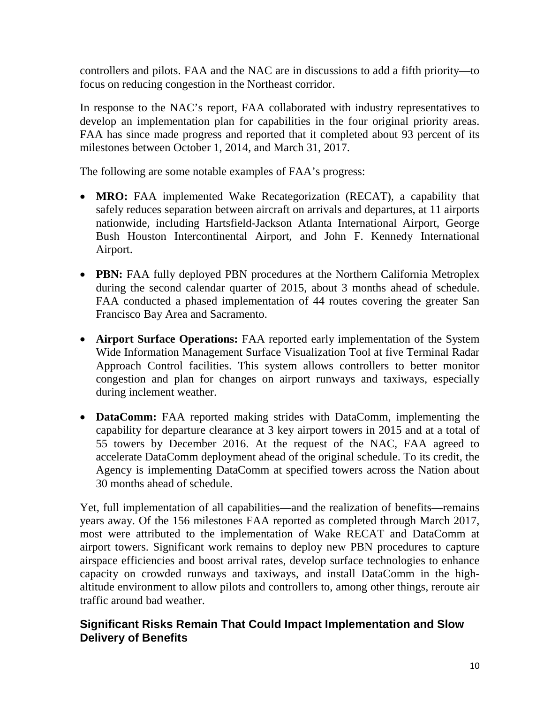controllers and pilots. FAA and the NAC are in discussions to add a fifth priority—to focus on reducing congestion in the Northeast corridor.

In response to the NAC's report, FAA collaborated with industry representatives to develop an implementation plan for capabilities in the four original priority areas. FAA has since made progress and reported that it completed about 93 percent of its milestones between October 1, 2014, and March 31, 2017.

The following are some notable examples of FAA's progress:

- **MRO:** FAA implemented Wake Recategorization (RECAT), a capability that safely reduces separation between aircraft on arrivals and departures, at 11 airports nationwide, including Hartsfield-Jackson Atlanta International Airport, George Bush Houston Intercontinental Airport, and John F. Kennedy International Airport.
- **PBN:** FAA fully deployed PBN procedures at the Northern California Metroplex during the second calendar quarter of 2015, about 3 months ahead of schedule. FAA conducted a phased implementation of 44 routes covering the greater San Francisco Bay Area and Sacramento.
- **Airport Surface Operations:** FAA reported early implementation of the System Wide Information Management Surface Visualization Tool at five Terminal Radar Approach Control facilities. This system allows controllers to better monitor congestion and plan for changes on airport runways and taxiways, especially during inclement weather.
- **DataComm:** FAA reported making strides with DataComm, implementing the capability for departure clearance at 3 key airport towers in 2015 and at a total of 55 towers by December 2016. At the request of the NAC, FAA agreed to accelerate DataComm deployment ahead of the original schedule. To its credit, the Agency is implementing DataComm at specified towers across the Nation about 30 months ahead of schedule.

Yet, full implementation of all capabilities—and the realization of benefits—remains years away. Of the 156 milestones FAA reported as completed through March 2017, most were attributed to the implementation of Wake RECAT and DataComm at airport towers. Significant work remains to deploy new PBN procedures to capture airspace efficiencies and boost arrival rates, develop surface technologies to enhance capacity on crowded runways and taxiways, and install DataComm in the highaltitude environment to allow pilots and controllers to, among other things, reroute air traffic around bad weather.

## **Significant Risks Remain That Could Impact Implementation and Slow Delivery of Benefits**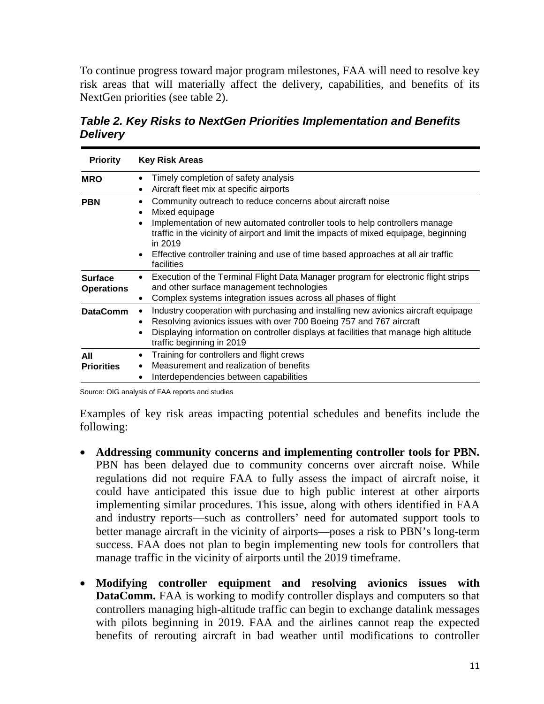To continue progress toward major program milestones, FAA will need to resolve key risk areas that will materially affect the delivery, capabilities, and benefits of its NextGen priorities (see table 2).

*Table 2. Key Risks to NextGen Priorities Implementation and Benefits Delivery*

| <b>Priority</b>                     | <b>Key Risk Areas</b>                                                                                                                                                                                                                                                                                                                                                           |  |  |  |  |  |
|-------------------------------------|---------------------------------------------------------------------------------------------------------------------------------------------------------------------------------------------------------------------------------------------------------------------------------------------------------------------------------------------------------------------------------|--|--|--|--|--|
| <b>MRO</b>                          | Timely completion of safety analysis<br>Aircraft fleet mix at specific airports<br>$\bullet$                                                                                                                                                                                                                                                                                    |  |  |  |  |  |
| <b>PBN</b>                          | Community outreach to reduce concerns about aircraft noise<br>Mixed equipage<br>Implementation of new automated controller tools to help controllers manage<br>traffic in the vicinity of airport and limit the impacts of mixed equipage, beginning<br>in 2019<br>Effective controller training and use of time based approaches at all air traffic<br>$\bullet$<br>facilities |  |  |  |  |  |
| <b>Surface</b><br><b>Operations</b> | Execution of the Terminal Flight Data Manager program for electronic flight strips<br>and other surface management technologies<br>Complex systems integration issues across all phases of flight                                                                                                                                                                               |  |  |  |  |  |
| <b>DataComm</b>                     | Industry cooperation with purchasing and installing new avionics aircraft equipage<br>Resolving avionics issues with over 700 Boeing 757 and 767 aircraft<br>$\bullet$<br>Displaying information on controller displays at facilities that manage high altitude<br>٠<br>traffic beginning in 2019                                                                               |  |  |  |  |  |
| All<br><b>Priorities</b>            | Training for controllers and flight crews<br>Measurement and realization of benefits<br>Interdependencies between capabilities                                                                                                                                                                                                                                                  |  |  |  |  |  |

Source: OIG analysis of FAA reports and studies

Examples of key risk areas impacting potential schedules and benefits include the following:

- **Addressing community concerns and implementing controller tools for PBN.**  PBN has been delayed due to community concerns over aircraft noise. While regulations did not require FAA to fully assess the impact of aircraft noise, it could have anticipated this issue due to high public interest at other airports implementing similar procedures. This issue, along with others identified in FAA and industry reports—such as controllers' need for automated support tools to better manage aircraft in the vicinity of airports—poses a risk to PBN's long-term success. FAA does not plan to begin implementing new tools for controllers that manage traffic in the vicinity of airports until the 2019 timeframe.
- **Modifying controller equipment and resolving avionics issues with DataComm.** FAA is working to modify controller displays and computers so that controllers managing high-altitude traffic can begin to exchange datalink messages with pilots beginning in 2019. FAA and the airlines cannot reap the expected benefits of rerouting aircraft in bad weather until modifications to controller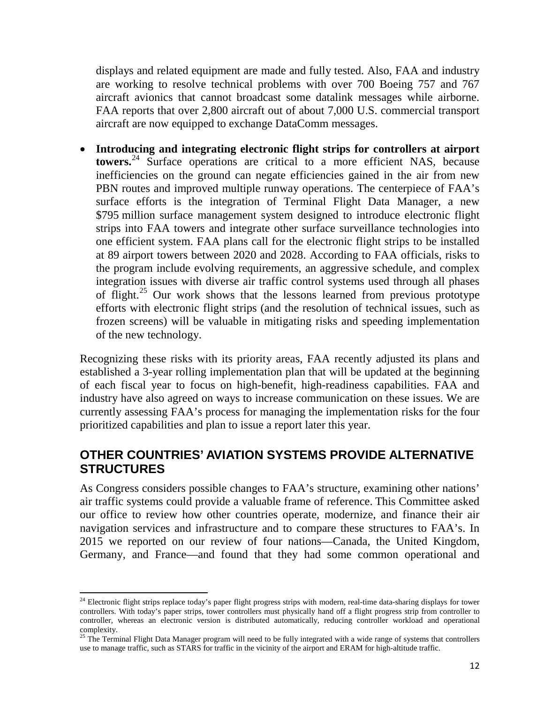displays and related equipment are made and fully tested. Also, FAA and industry are working to resolve technical problems with over 700 Boeing 757 and 767 aircraft avionics that cannot broadcast some datalink messages while airborne. FAA reports that over 2,800 aircraft out of about 7,000 U.S. commercial transport aircraft are now equipped to exchange DataComm messages.

• **Introducing and integrating electronic flight strips for controllers at airport towers.** [24](#page-12-0) Surface operations are critical to a more efficient NAS, because inefficiencies on the ground can negate efficiencies gained in the air from new PBN routes and improved multiple runway operations. The centerpiece of FAA's surface efforts is the integration of Terminal Flight Data Manager, a new \$795 million surface management system designed to introduce electronic flight strips into FAA towers and integrate other surface surveillance technologies into one efficient system. FAA plans call for the electronic flight strips to be installed at 89 airport towers between 2020 and 2028. According to FAA officials, risks to the program include evolving requirements, an aggressive schedule, and complex integration issues with diverse air traffic control systems used through all phases of flight.<sup>[25](#page-12-1)</sup> Our work shows that the lessons learned from previous prototype efforts with electronic flight strips (and the resolution of technical issues, such as frozen screens) will be valuable in mitigating risks and speeding implementation of the new technology.

Recognizing these risks with its priority areas, FAA recently adjusted its plans and established a 3-year rolling implementation plan that will be updated at the beginning of each fiscal year to focus on high-benefit, high-readiness capabilities. FAA and industry have also agreed on ways to increase communication on these issues. We are currently assessing FAA's process for managing the implementation risks for the four prioritized capabilities and plan to issue a report later this year.

## **OTHER COUNTRIES' AVIATION SYSTEMS PROVIDE ALTERNATIVE STRUCTURES**

As Congress considers possible changes to FAA's structure, examining other nations' air traffic systems could provide a valuable frame of reference. This Committee asked our office to review how other countries operate, modernize, and finance their air navigation services and infrastructure and to compare these structures to FAA's. In 2015 we reported on our review of four nations—Canada, the United Kingdom, Germany, and France—and found that they had some common operational and

<span id="page-12-0"></span><sup>&</sup>lt;sup>24</sup> Electronic flight strips replace today's paper flight progress strips with modern, real-time data-sharing displays for tower controllers. With today's paper strips, tower controllers must physically hand off a flight progress strip from controller to controller, whereas an electronic version is distributed automatically, reducing controller workload and operational complexity.

<span id="page-12-1"></span> $25$  The Terminal Flight Data Manager program will need to be fully integrated with a wide range of systems that controllers use to manage traffic, such as STARS for traffic in the vicinity of the airport and ERAM for high-altitude traffic.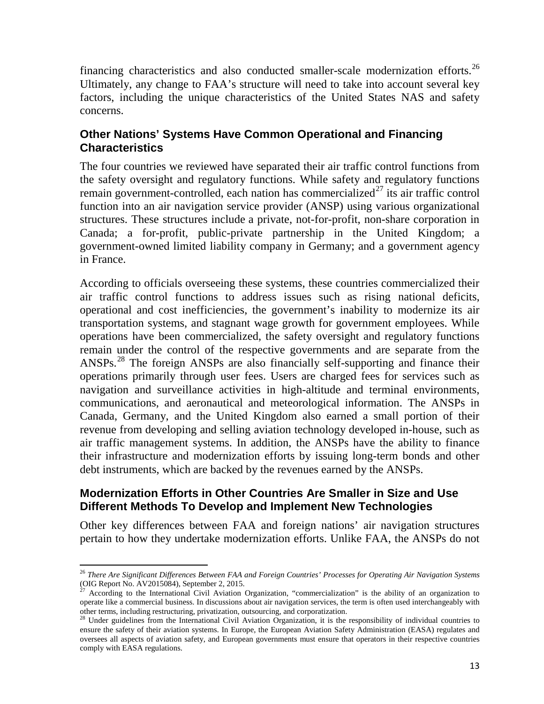financing characteristics and also conducted smaller-scale modernization efforts.<sup>[26](#page-13-0)</sup> Ultimately, any change to FAA's structure will need to take into account several key factors, including the unique characteristics of the United States NAS and safety concerns.

### **Other Nations' Systems Have Common Operational and Financing Characteristics**

The four countries we reviewed have separated their air traffic control functions from the safety oversight and regulatory functions. While safety and regulatory functions remain government-controlled, each nation has commercialized<sup> $27$ </sup> its air traffic control function into an air navigation service provider (ANSP) using various organizational structures. These structures include a private, not-for-profit, non-share corporation in Canada; a for-profit, public-private partnership in the United Kingdom; a government-owned limited liability company in Germany; and a government agency in France.

According to officials overseeing these systems, these countries commercialized their air traffic control functions to address issues such as rising national deficits, operational and cost inefficiencies, the government's inability to modernize its air transportation systems, and stagnant wage growth for government employees. While operations have been commercialized, the safety oversight and regulatory functions remain under the control of the respective governments and are separate from the ANSPs.[28](#page-13-2) The foreign ANSPs are also financially self-supporting and finance their operations primarily through user fees. Users are charged fees for services such as navigation and surveillance activities in high-altitude and terminal environments, communications, and aeronautical and meteorological information. The ANSPs in Canada, Germany, and the United Kingdom also earned a small portion of their revenue from developing and selling aviation technology developed in-house, such as air traffic management systems. In addition, the ANSPs have the ability to finance their infrastructure and modernization efforts by issuing long-term bonds and other debt instruments, which are backed by the revenues earned by the ANSPs.

### **Modernization Efforts in Other Countries Are Smaller in Size and Use Different Methods To Develop and Implement New Technologies**

 $\overline{\phantom{a}}$ 

Other key differences between FAA and foreign nations' air navigation structures pertain to how they undertake modernization efforts. Unlike FAA, the ANSPs do not

<span id="page-13-0"></span><sup>26</sup> *There Are Significant Differences Between FAA and Foreign Countries' Processes for Operating Air Navigation Systems* (OIG Report No. AV2015084), September 2, 2015.<br><sup>27</sup> According to the International Civil Aviation Organization, "commercialization" is the ability of an organization to

<span id="page-13-1"></span>operate like a commercial business. In discussions about air navigation services, the term is often used interchangeably with other terms, including restructuring, privatization, outsourcing, and corporatization.

<span id="page-13-2"></span><sup>&</sup>lt;sup>28</sup> Under guidelines from the International Civil Aviation Organization, it is the responsibility of individual countries to ensure the safety of their aviation systems. In Europe, the European Aviation Safety Administration (EASA) regulates and oversees all aspects of aviation safety, and European governments must ensure that operators in their respective countries comply with EASA regulations.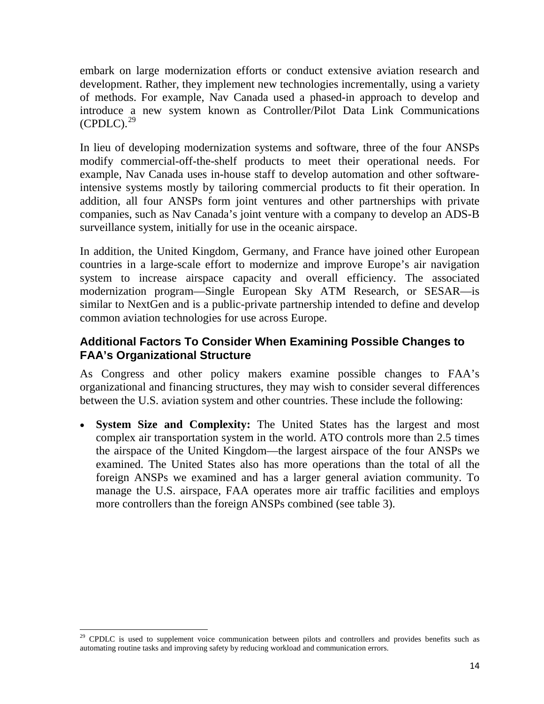embark on large modernization efforts or conduct extensive aviation research and development. Rather, they implement new technologies incrementally, using a variety of methods. For example, Nav Canada used a phased-in approach to develop and introduce a new system known as Controller/Pilot Data Link Communications  $(CPDLC)<sup>29</sup>$  $(CPDLC)<sup>29</sup>$  $(CPDLC)<sup>29</sup>$ 

In lieu of developing modernization systems and software, three of the four ANSPs modify commercial-off-the-shelf products to meet their operational needs. For example, Nav Canada uses in-house staff to develop automation and other softwareintensive systems mostly by tailoring commercial products to fit their operation. In addition, all four ANSPs form joint ventures and other partnerships with private companies, such as Nav Canada's joint venture with a company to develop an ADS-B surveillance system, initially for use in the oceanic airspace.

In addition, the United Kingdom, Germany, and France have joined other European countries in a large-scale effort to modernize and improve Europe's air navigation system to increase airspace capacity and overall efficiency. The associated modernization program—Single European Sky ATM Research, or SESAR—is similar to NextGen and is a public-private partnership intended to define and develop common aviation technologies for use across Europe.

## **Additional Factors To Consider When Examining Possible Changes to FAA's Organizational Structure**

As Congress and other policy makers examine possible changes to FAA's organizational and financing structures, they may wish to consider several differences between the U.S. aviation system and other countries. These include the following:

• **System Size and Complexity:** The United States has the largest and most complex air transportation system in the world. ATO controls more than 2.5 times the airspace of the United Kingdom—the largest airspace of the four ANSPs we examined. The United States also has more operations than the total of all the foreign ANSPs we examined and has a larger general aviation community. To manage the U.S. airspace, FAA operates more air traffic facilities and employs more controllers than the foreign ANSPs combined (see table 3).

l

<span id="page-14-0"></span> $29$  CPDLC is used to supplement voice communication between pilots and controllers and provides benefits such as automating routine tasks and improving safety by reducing workload and communication errors.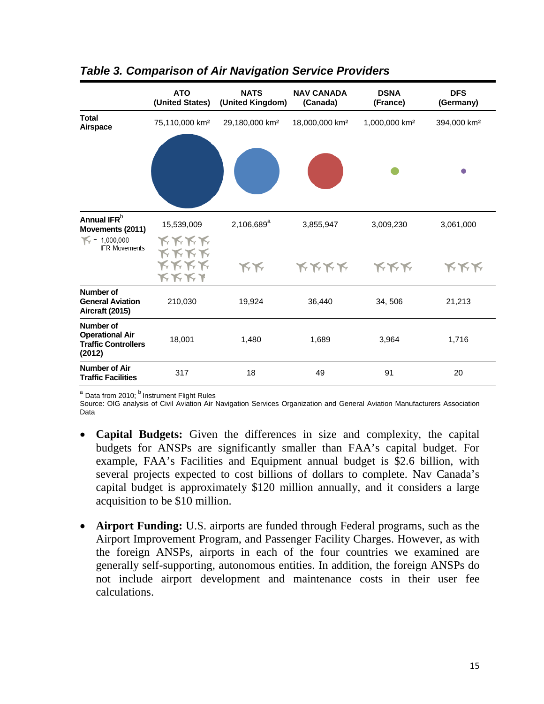|                                                                                    | <b>ATO</b><br>(United States)                     | <b>NATS</b><br>(United Kingdom) | <b>NAV CANADA</b><br>(Canada) | <b>DSNA</b><br>(France)   | <b>DFS</b><br>(Germany) |
|------------------------------------------------------------------------------------|---------------------------------------------------|---------------------------------|-------------------------------|---------------------------|-------------------------|
| <b>Total</b><br>Airspace                                                           | 75,110,000 km <sup>2</sup>                        | 29,180,000 km <sup>2</sup>      | 18,000,000 km <sup>2</sup>    | 1,000,000 km <sup>2</sup> | 394,000 km <sup>2</sup> |
|                                                                                    |                                                   |                                 |                               |                           |                         |
| Annual IFR <sup>b</sup><br>Movements (2011)                                        | 15,539,009                                        | 2,106,689 <sup>a</sup>          | 3,855,947                     | 3,009,230                 | 3,061,000               |
| $\leq 1,000,000$<br><b>IFR Movements</b>                                           | <b>KKKK</b><br><b>KKKK</b><br><b>KKKK</b><br>ドドドィ | KK                              | <b>KKKK</b>                   | <b>KKK</b>                | <b>KKK</b>              |
| Number of<br><b>General Aviation</b><br>Aircraft (2015)                            | 210,030                                           | 19,924                          | 36,440                        | 34, 506                   | 21,213                  |
| <b>Number of</b><br><b>Operational Air</b><br><b>Traffic Controllers</b><br>(2012) | 18,001                                            | 1,480                           | 1,689                         | 3,964                     | 1,716                   |
| <b>Number of Air</b><br><b>Traffic Facilities</b>                                  | 317                                               | 18                              | 49                            | 91                        | 20                      |

## *Table 3. Comparison of Air Navigation Service Providers*

 $a$  Data from 2010;  $b$  Instrument Flight Rules

Source: OIG analysis of Civil Aviation Air Navigation Services Organization and General Aviation Manufacturers Association Data

- **Capital Budgets:** Given the differences in size and complexity, the capital budgets for ANSPs are significantly smaller than FAA's capital budget. For example, FAA's Facilities and Equipment annual budget is \$2.6 billion, with several projects expected to cost billions of dollars to complete. Nav Canada's capital budget is approximately \$120 million annually, and it considers a large acquisition to be \$10 million.
- **Airport Funding:** U.S. airports are funded through Federal programs, such as the Airport Improvement Program, and Passenger Facility Charges. However, as with the foreign ANSPs, airports in each of the four countries we examined are generally self-supporting, autonomous entities. In addition, the foreign ANSPs do not include airport development and maintenance costs in their user fee calculations.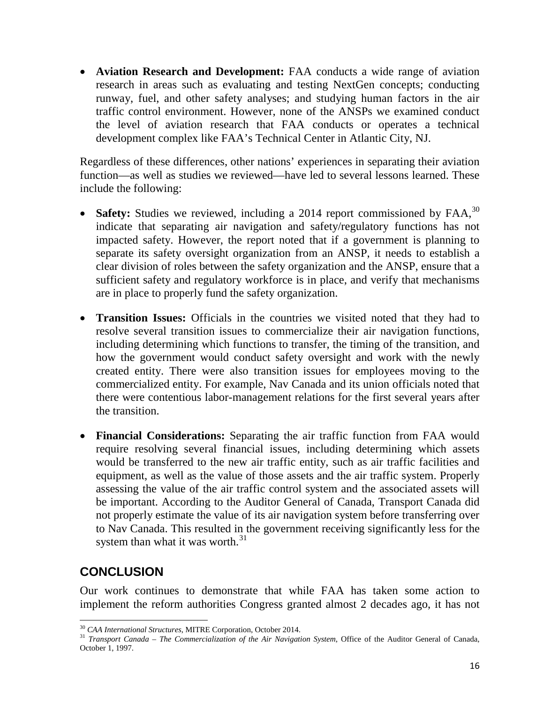• **Aviation Research and Development:** FAA conducts a wide range of aviation research in areas such as evaluating and testing NextGen concepts; conducting runway, fuel, and other safety analyses; and studying human factors in the air traffic control environment. However, none of the ANSPs we examined conduct the level of aviation research that FAA conducts or operates a technical development complex like FAA's Technical Center in Atlantic City, NJ.

Regardless of these differences, other nations' experiences in separating their aviation function—as well as studies we reviewed—have led to several lessons learned. These include the following:

- **Safety:** Studies we reviewed, including a 2014 report commissioned by FAA,<sup>[30](#page-16-0)</sup> indicate that separating air navigation and safety/regulatory functions has not impacted safety. However, the report noted that if a government is planning to separate its safety oversight organization from an ANSP, it needs to establish a clear division of roles between the safety organization and the ANSP, ensure that a sufficient safety and regulatory workforce is in place, and verify that mechanisms are in place to properly fund the safety organization.
- **Transition Issues:** Officials in the countries we visited noted that they had to resolve several transition issues to commercialize their air navigation functions, including determining which functions to transfer, the timing of the transition, and how the government would conduct safety oversight and work with the newly created entity. There were also transition issues for employees moving to the commercialized entity. For example, Nav Canada and its union officials noted that there were contentious labor-management relations for the first several years after the transition.
- **Financial Considerations:** Separating the air traffic function from FAA would require resolving several financial issues, including determining which assets would be transferred to the new air traffic entity, such as air traffic facilities and equipment, as well as the value of those assets and the air traffic system. Properly assessing the value of the air traffic control system and the associated assets will be important. According to the Auditor General of Canada, Transport Canada did not properly estimate the value of its air navigation system before transferring over to Nav Canada. This resulted in the government receiving significantly less for the system than what it was worth.<sup>[31](#page-16-1)</sup>

# **CONCLUSION**

Our work continues to demonstrate that while FAA has taken some action to implement the reform authorities Congress granted almost 2 decades ago, it has not

<span id="page-16-0"></span><sup>&</sup>lt;sup>30</sup> CAA International Structures, MITRE Corporation, October 2014.

<span id="page-16-1"></span><sup>&</sup>lt;sup>31</sup> *Transport Canada – The Commercialization of the Air Navigation System*, Office of the Auditor General of Canada, October 1, 1997.